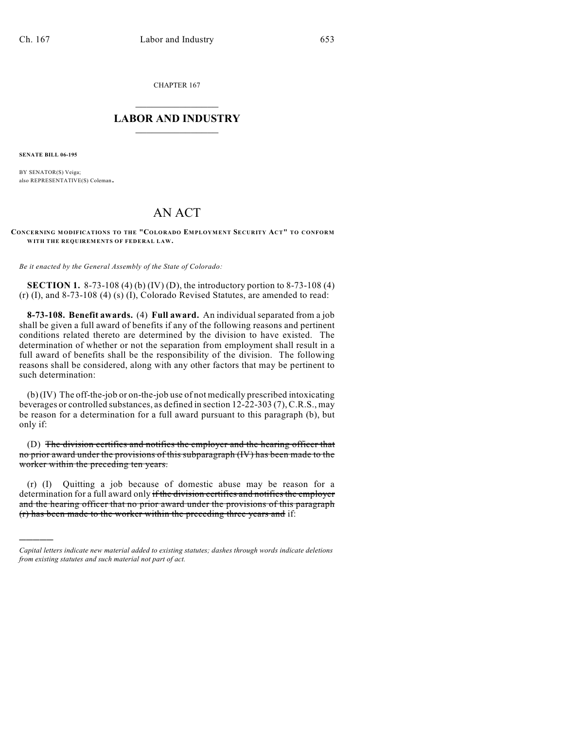CHAPTER 167

## $\overline{\phantom{a}}$  . The set of the set of the set of the set of the set of the set of the set of the set of the set of the set of the set of the set of the set of the set of the set of the set of the set of the set of the set o **LABOR AND INDUSTRY**  $\frac{1}{\sqrt{2}}$  ,  $\frac{1}{\sqrt{2}}$  ,  $\frac{1}{\sqrt{2}}$  ,  $\frac{1}{\sqrt{2}}$  ,  $\frac{1}{\sqrt{2}}$  ,  $\frac{1}{\sqrt{2}}$

**SENATE BILL 06-195**

)))))

BY SENATOR(S) Veiga; also REPRESENTATIVE(S) Coleman.

## AN ACT

**CONCERNING MODIFICATIONS TO THE "COLORADO EMPLOYMENT SECURITY ACT" TO CONFORM WITH THE REQUIREMENTS OF FEDERAL LAW.**

*Be it enacted by the General Assembly of the State of Colorado:*

**SECTION 1.** 8-73-108 (4) (b) (IV) (D), the introductory portion to 8-73-108 (4) (r) (I), and 8-73-108 (4) (s) (I), Colorado Revised Statutes, are amended to read:

**8-73-108. Benefit awards.** (4) **Full award.** An individual separated from a job shall be given a full award of benefits if any of the following reasons and pertinent conditions related thereto are determined by the division to have existed. The determination of whether or not the separation from employment shall result in a full award of benefits shall be the responsibility of the division. The following reasons shall be considered, along with any other factors that may be pertinent to such determination:

(b) (IV) The off-the-job or on-the-job use of not medically prescribed intoxicating beverages or controlled substances, as defined in section 12-22-303 (7), C.R.S., may be reason for a determination for a full award pursuant to this paragraph (b), but only if:

(D) The division certifies and notifies the employer and the hearing officer that no prior award under the provisions of this subparagraph (IV) has been made to the worker within the preceding ten years.

(r) (I) Quitting a job because of domestic abuse may be reason for a determination for a full award only if the division certifies and notifies the employer and the hearing officer that no prior award under the provisions of this paragraph (r) has been made to the worker within the preceding three years and if:

*Capital letters indicate new material added to existing statutes; dashes through words indicate deletions from existing statutes and such material not part of act.*